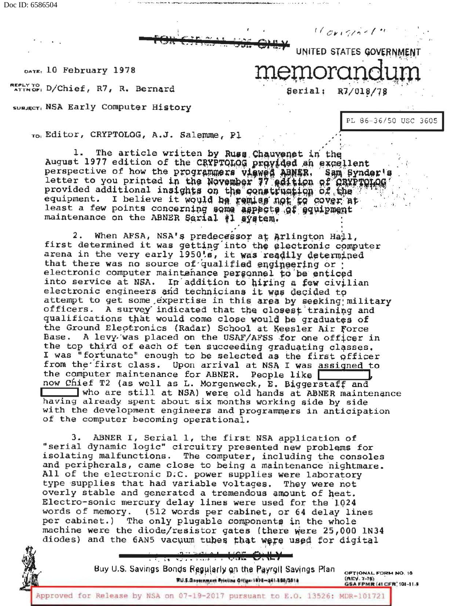Doc ID: 6586504



DATE: 10 February 1978

ATTNOF: D/Chief, R7, R. Bernard

SUBJECT: NSA Early Computer History

PL 86-36/50 USC 3605

 $10$  original

R7/018/7

**Serial:** 

To: Editor, CRYPTOLOG, A.J. Salemme, Pl

The article written by Russ Chauvenet in the 1. August 1977 edition of the CRYPTOLOG provided an excellent perspective of how the programmers viewed ABNER. Sam Synder letter to you printed in the November 77 adition of CRYPTOLOG Sam Synder's provided additional insights on the construction of the equipment. I believe it would be remise not to cover at<br>least a few points concerning some aspects of equipment<br>maintenance on the ABNER Serial #1 system.

2. When AFSA, NSA's predecessor at Arlington Hall, first determined it was getting into the electronic computer<br>arena in the very early 1950's, it was readily determined that there was no source of qualified engineering or electronic computer maintenance personnel to be enticed into service at NSA. In addition to hiring a few civilian electronic engineers and technicians it was decided to attempt to get some expertise in this area by seeking military officers. A survey indicated that the closest training and qualifications that would come close would be graduates of the Ground Electronics (Radar) School at Keesler Air Force Base. A levy was placed on the USAF/AFSS for one officer in the top third of each of ten succeeding graduating classes. I was "fortunate" enough to be selected as the first officer from the first class. Upon arrival at NSA I was assigned to the computer maintenance for ABNER. People like now Chief T2 (as well as L. Morgenweck, E. Biggerstaff and who are still at NSA) were old hands at ABNER maintenance having already spent about six months working side by side with the development engineers and programmers in anticipation of the computer becoming operational.

ABNER I, Serial 1, the first NSA application of 3. "serial dynamic logic" circuitry presented new problems for isolating malfunctions. The computer, including the consoles and peripherals, came close to being a maintenance nightmare. All of the electronic D.C. power supplies were laboratory type supplies that had variable voltages. They were not overly stable and generated a tremendous amount of heat. Electro-sonic mercury delay lines were used for the 1024 words of memory. (512 words per cabinet, or 64 delay lines The only plugable components in the whole per cabinet.) machine were the diode/resistor gates (there were 25,000 1N34 diodes) and the 6AN5 vacuum tubes that were used for digital



Buy U.S. Savings Bonds Regularly on the Payroll Savings Plan WU.S.Gosernment Printine Office:1078-241-590/3014

OPTIONAL FORM NO. 10 (REV. 7-76)<br>GSA FPMR (41 CFR, 101-11-8

Approved for Release by NSA on 07-19-2017 pursuant to E.O. 13526: MDR-101721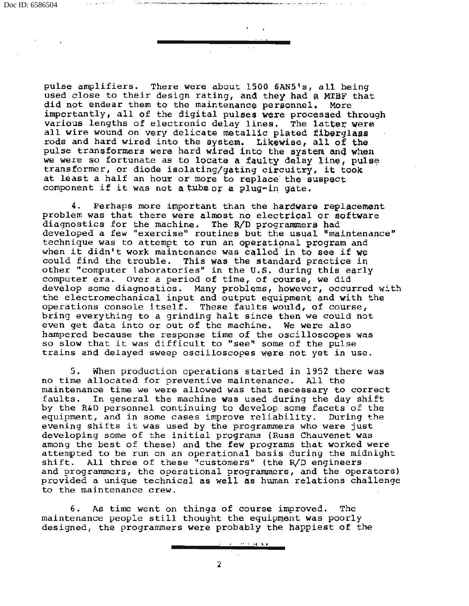pulse amplifiers. There were about 1500 6AN5's, all being used close to their design rating, and they had a MTBF that did not endear them to the maintenance personnel. More importantly, all of the digital pulses were processed through various lengths of electronic delay lines. The latter were all wire wound on very delicate metallic plated fiberglaas rods and hard wired into the system. Likewise, all of the pulse transformers were hard wired into the system and when we were so fortunate as to locate a faulty delay line, pulse we were so fortunate as to locate a raulty delay line, puls<br>transformer, or diode isolating/gating circuitry, it took at least a half an hour or more to replace- the suspect component if it was not a tube or a plug-in gate.

4. Perhaps more important than the hardware replacement problem was that there were almost no electrical or software diagnostics for the machine. The R/D programmers had developed a few "exercise" routines but the usual "maintenance" technique was to attempt to run an operatipnal program and when it didn't work maintenance was called in to see if we could find the trouble. This was the standard practice in other "computer laboratories" in the U.S. during this early computer era. Over a period of time, of course, we did develop some diagnostics. Many problems, however, occurred with the electromechanical input and output equipment and with the operations console itself. These faults would, of course, bring everything to a grinding halt since then we could not even get data into or out of the machine. We were also hampered because the response time of the oscilloscopes was so slow that it was difficult to "see'' some of the pulse trains and delayed sweep oscilloscopes were not yet in use.

5. When production operations started in 1952 there was no time allocated for preventive maintenance. All the maintenance time we were allowed was that necessary to correct faults. In general the machine was used during the day shift by the R&D personnel continuing to develop some facets of the equipment, and in some cases improve reliability. During the evening shifts it was used by the programmers who were just developing some of the initial programs (Russ Chauvenet was among the best of these) and the few programs that worked were attempted to be run on an operational basis during the midnight shift. All three of these "customers" (the R/D engineers All three of these "customers" (the R/D engineers. and programmers, the operational programmers, and the operators) provided a unique technical as well as hwnan relations challenge to the maintenance crew.

6. As time went on things of course improved. The maintenance people still thought the equipment was poorly designed, the programmers were probably the. happiest of the

2

 $\cdots$  in formulation  $\cdots$